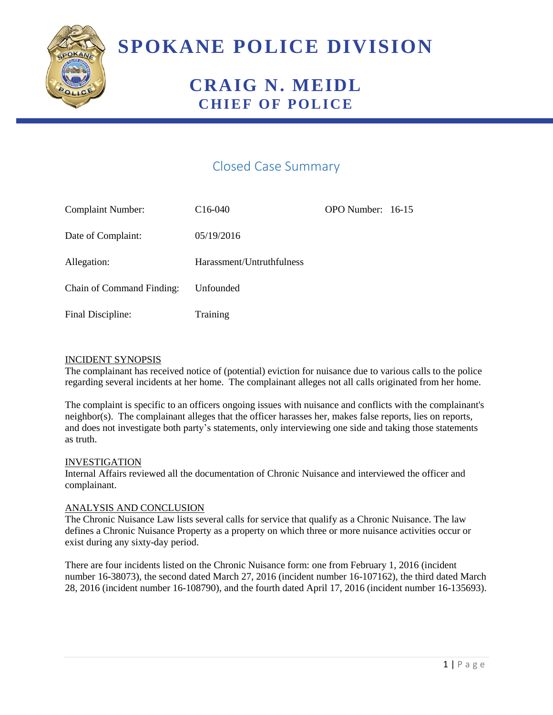

# **SPOKANE POLICE DIVISION**

## **CRAIG N. MEIDL CHIEF OF POLICE**

### Closed Case Summary

| <b>Complaint Number:</b>         | $C16-040$                 | OPO Number: 16-15 |  |
|----------------------------------|---------------------------|-------------------|--|
| Date of Complaint:               | 05/19/2016                |                   |  |
| Allegation:                      | Harassment/Untruthfulness |                   |  |
| <b>Chain of Command Finding:</b> | Unfounded                 |                   |  |
| Final Discipline:                | Training                  |                   |  |

#### INCIDENT SYNOPSIS

The complainant has received notice of (potential) eviction for nuisance due to various calls to the police regarding several incidents at her home. The complainant alleges not all calls originated from her home.

The complaint is specific to an officers ongoing issues with nuisance and conflicts with the complainant's neighbor(s). The complainant alleges that the officer harasses her, makes false reports, lies on reports, and does not investigate both party's statements, only interviewing one side and taking those statements as truth.

#### INVESTIGATION

Internal Affairs reviewed all the documentation of Chronic Nuisance and interviewed the officer and complainant.

#### ANALYSIS AND CONCLUSION

The Chronic Nuisance Law lists several calls for service that qualify as a Chronic Nuisance. The law defines a Chronic Nuisance Property as a property on which three or more nuisance activities occur or exist during any sixty-day period.

There are four incidents listed on the Chronic Nuisance form: one from February 1, 2016 (incident number 16-38073), the second dated March 27, 2016 (incident number 16-107162), the third dated March 28, 2016 (incident number 16-108790), and the fourth dated April 17, 2016 (incident number 16-135693).